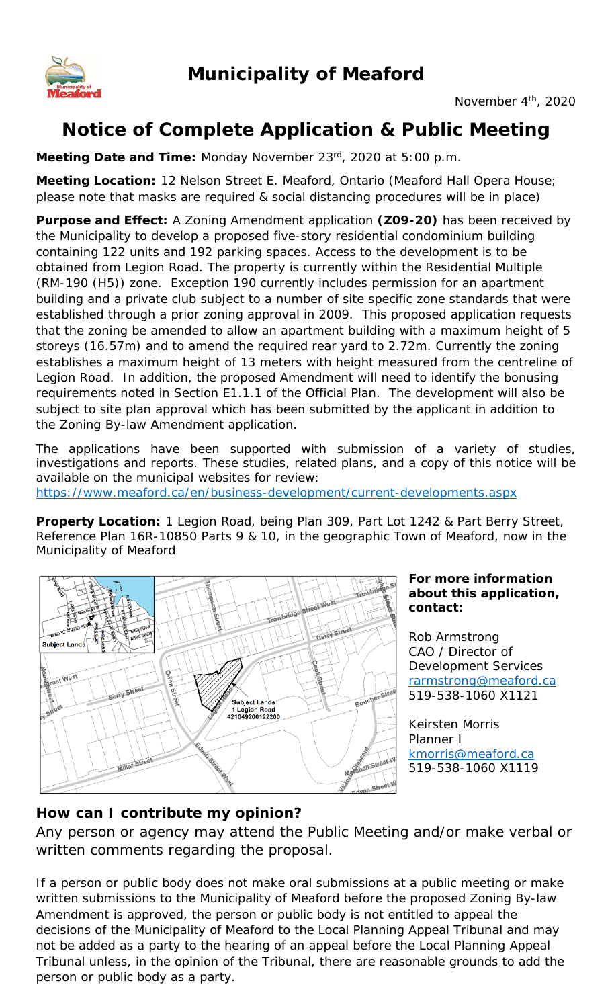

# **Notice of Complete Application & Public Meeting**

**Meeting Date and Time:** Monday November 23rd, 2020 at 5:00 p.m.

**Meeting Location:** 12 Nelson Street E. Meaford, Ontario (Meaford Hall Opera House; please note that masks are required & social distancing procedures will be in place)

**Purpose and Effect:** A Zoning Amendment application **(Z09-20)** has been received by the Municipality to develop a proposed five-story residential condominium building containing 122 units and 192 parking spaces. Access to the development is to be obtained from Legion Road. The property is currently within the Residential Multiple (RM-190 (H5)) zone. Exception 190 currently includes permission for an apartment building and a private club subject to a number of site specific zone standards that were established through a prior zoning approval in 2009. This proposed application requests that the zoning be amended to allow an apartment building with a maximum height of 5 storeys (16.57m) and to amend the required rear yard to 2.72m. Currently the zoning establishes a maximum height of 13 meters with height measured from the centreline of Legion Road. In addition, the proposed Amendment will need to identify the bonusing requirements noted in Section E1.1.1 of the Official Plan. The development will also be subject to site plan approval which has been submitted by the applicant in addition to the Zoning By-law Amendment application.

The applications have been supported with submission of a variety of studies, investigations and reports. These studies, related plans, and a copy of this notice will be available on the municipal websites for review:

https://www.meaford.ca/en/business-development/current-developments.aspx

**Property Location:** 1 Legion Road, being Plan 309, Part Lot 1242 & Part Berry Street, Reference Plan 16R-10850 Parts 9 & 10, in the geographic Town of Meaford, now in the Municipality of Meaford



#### **For more information about this application, contact:**

Rob Armstrong CAO / Director of Development Services rarmstrong@meaford.ca 519-538-1060 X1121

Keirsten Morris Planner I kmorris@meaford.ca 519-538-1060 X1119

## **How can I contribute my opinion?**

Any person or agency may attend the Public Meeting and/or make verbal or written comments regarding the proposal.

If a person or public body does not make oral submissions at a public meeting or make written submissions to the Municipality of Meaford before the proposed Zoning By-law Amendment is approved, the person or public body is not entitled to appeal the decisions of the Municipality of Meaford to the Local Planning Appeal Tribunal and may not be added as a party to the hearing of an appeal before the Local Planning Appeal Tribunal unless, in the opinion of the Tribunal, there are reasonable grounds to add the person or public body as a party.